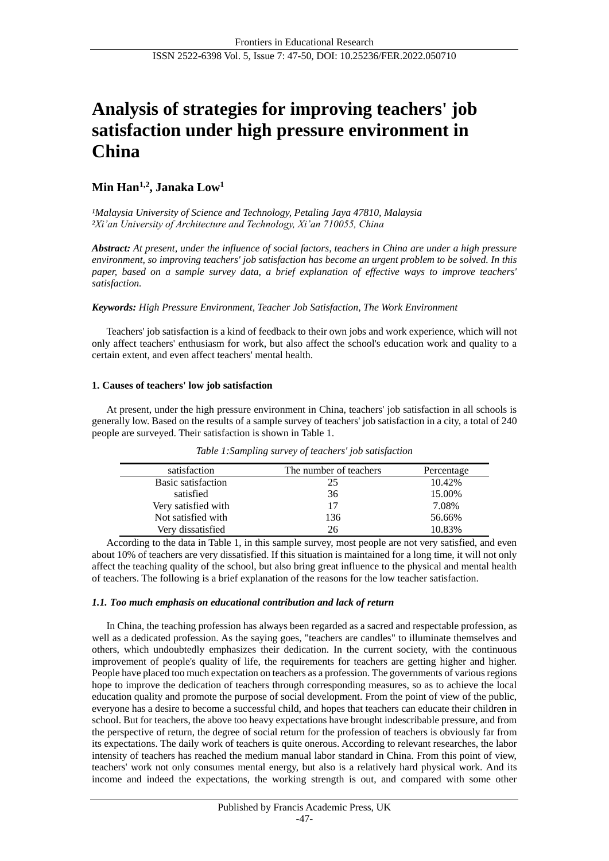# **Analysis of strategies for improving teachers' job satisfaction under high pressure environment in China**

# **Min Han1,2 , Janaka Low<sup>1</sup>**

*¹Malaysia University of Science and Technology, Petaling Jaya 47810, Malaysia ²Xi'an University of Architecture and Technology, Xi'an 710055, China*

*Abstract: At present, under the influence of social factors, teachers in China are under a high pressure environment, so improving teachers' job satisfaction has become an urgent problem to be solved. In this paper, based on a sample survey data, a brief explanation of effective ways to improve teachers' satisfaction.*

# *Keywords: High Pressure Environment, Teacher Job Satisfaction, The Work Environment*

Teachers' job satisfaction is a kind of feedback to their own jobs and work experience, which will not only affect teachers' enthusiasm for work, but also affect the school's education work and quality to a certain extent, and even affect teachers' mental health.

# **1. Causes of teachers' low job satisfaction**

At present, under the high pressure environment in China, teachers' job satisfaction in all schools is generally low. Based on the results of a sample survey of teachers' job satisfaction in a city, a total of 240 people are surveyed. Their satisfaction is shown in Table 1.

| satisfaction        | The number of teachers | Percentage |
|---------------------|------------------------|------------|
| Basic satisfaction  | 25                     | 10.42%     |
| satisfied           | 36                     | 15.00%     |
| Very satisfied with | 17                     | 7.08%      |
| Not satisfied with  | 136                    | 56.66%     |
| Very dissatisfied   | 26                     | 10.83%     |

*Table 1:Sampling survey of teachers' job satisfaction*

According to the data in Table 1, in this sample survey, most people are not very satisfied, and even about 10% of teachers are very dissatisfied. If this situation is maintained for a long time, it will not only affect the teaching quality of the school, but also bring great influence to the physical and mental health of teachers. The following is a brief explanation of the reasons for the low teacher satisfaction.

# *1.1. Too much emphasis on educational contribution and lack of return*

In China, the teaching profession has always been regarded as a sacred and respectable profession, as well as a dedicated profession. As the saying goes, "teachers are candles" to illuminate themselves and others, which undoubtedly emphasizes their dedication. In the current society, with the continuous improvement of people's quality of life, the requirements for teachers are getting higher and higher. People have placed too much expectation on teachers as a profession. The governments of various regions hope to improve the dedication of teachers through corresponding measures, so as to achieve the local education quality and promote the purpose of social development. From the point of view of the public, everyone has a desire to become a successful child, and hopes that teachers can educate their children in school. But for teachers, the above too heavy expectations have brought indescribable pressure, and from the perspective of return, the degree of social return for the profession of teachers is obviously far from its expectations. The daily work of teachers is quite onerous. According to relevant researches, the labor intensity of teachers has reached the medium manual labor standard in China. From this point of view, teachers' work not only consumes mental energy, but also is a relatively hard physical work. And its income and indeed the expectations, the working strength is out, and compared with some other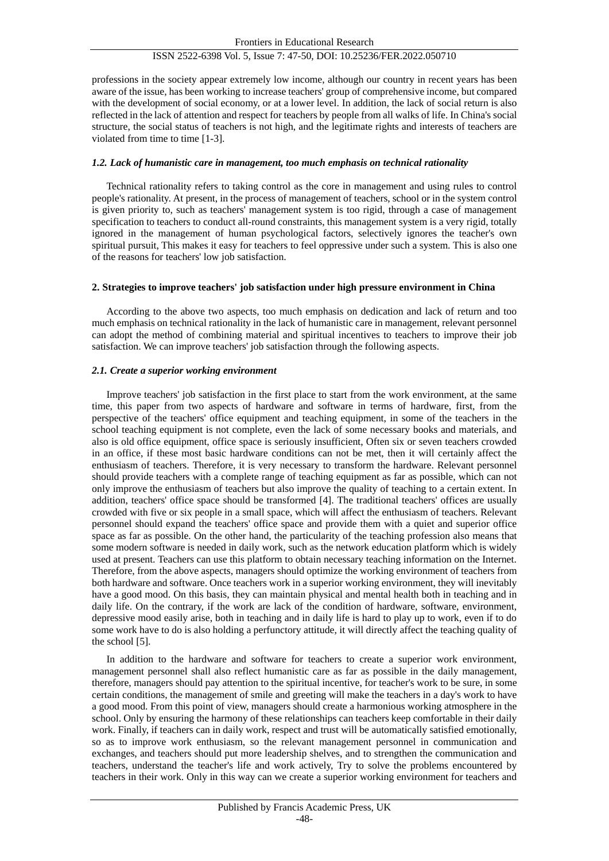# ISSN 2522-6398 Vol. 5, Issue 7: 47-50, DOI: 10.25236/FER.2022.050710

professions in the society appear extremely low income, although our country in recent years has been aware of the issue, has been working to increase teachers' group of comprehensive income, but compared with the development of social economy, or at a lower level. In addition, the lack of social return is also reflected in the lack of attention and respect for teachers by people from all walks of life. In China's social structure, the social status of teachers is not high, and the legitimate rights and interests of teachers are violated from time to time [1-3].

#### *1.2. Lack of humanistic care in management, too much emphasis on technical rationality*

Technical rationality refers to taking control as the core in management and using rules to control people's rationality. At present, in the process of management of teachers, school or in the system control is given priority to, such as teachers' management system is too rigid, through a case of management specification to teachers to conduct all-round constraints, this management system is a very rigid, totally ignored in the management of human psychological factors, selectively ignores the teacher's own spiritual pursuit, This makes it easy for teachers to feel oppressive under such a system. This is also one of the reasons for teachers' low job satisfaction.

#### **2. Strategies to improve teachers' job satisfaction under high pressure environment in China**

According to the above two aspects, too much emphasis on dedication and lack of return and too much emphasis on technical rationality in the lack of humanistic care in management, relevant personnel can adopt the method of combining material and spiritual incentives to teachers to improve their job satisfaction. We can improve teachers' job satisfaction through the following aspects.

#### *2.1. Create a superior working environment*

Improve teachers' job satisfaction in the first place to start from the work environment, at the same time, this paper from two aspects of hardware and software in terms of hardware, first, from the perspective of the teachers' office equipment and teaching equipment, in some of the teachers in the school teaching equipment is not complete, even the lack of some necessary books and materials, and also is old office equipment, office space is seriously insufficient, Often six or seven teachers crowded in an office, if these most basic hardware conditions can not be met, then it will certainly affect the enthusiasm of teachers. Therefore, it is very necessary to transform the hardware. Relevant personnel should provide teachers with a complete range of teaching equipment as far as possible, which can not only improve the enthusiasm of teachers but also improve the quality of teaching to a certain extent. In addition, teachers' office space should be transformed [4]. The traditional teachers' offices are usually crowded with five or six people in a small space, which will affect the enthusiasm of teachers. Relevant personnel should expand the teachers' office space and provide them with a quiet and superior office space as far as possible. On the other hand, the particularity of the teaching profession also means that some modern software is needed in daily work, such as the network education platform which is widely used at present. Teachers can use this platform to obtain necessary teaching information on the Internet. Therefore, from the above aspects, managers should optimize the working environment of teachers from both hardware and software. Once teachers work in a superior working environment, they will inevitably have a good mood. On this basis, they can maintain physical and mental health both in teaching and in daily life. On the contrary, if the work are lack of the condition of hardware, software, environment, depressive mood easily arise, both in teaching and in daily life is hard to play up to work, even if to do some work have to do is also holding a perfunctory attitude, it will directly affect the teaching quality of the school [5].

In addition to the hardware and software for teachers to create a superior work environment, management personnel shall also reflect humanistic care as far as possible in the daily management, therefore, managers should pay attention to the spiritual incentive, for teacher's work to be sure, in some certain conditions, the management of smile and greeting will make the teachers in a day's work to have a good mood. From this point of view, managers should create a harmonious working atmosphere in the school. Only by ensuring the harmony of these relationships can teachers keep comfortable in their daily work. Finally, if teachers can in daily work, respect and trust will be automatically satisfied emotionally, so as to improve work enthusiasm, so the relevant management personnel in communication and exchanges, and teachers should put more leadership shelves, and to strengthen the communication and teachers, understand the teacher's life and work actively, Try to solve the problems encountered by teachers in their work. Only in this way can we create a superior working environment for teachers and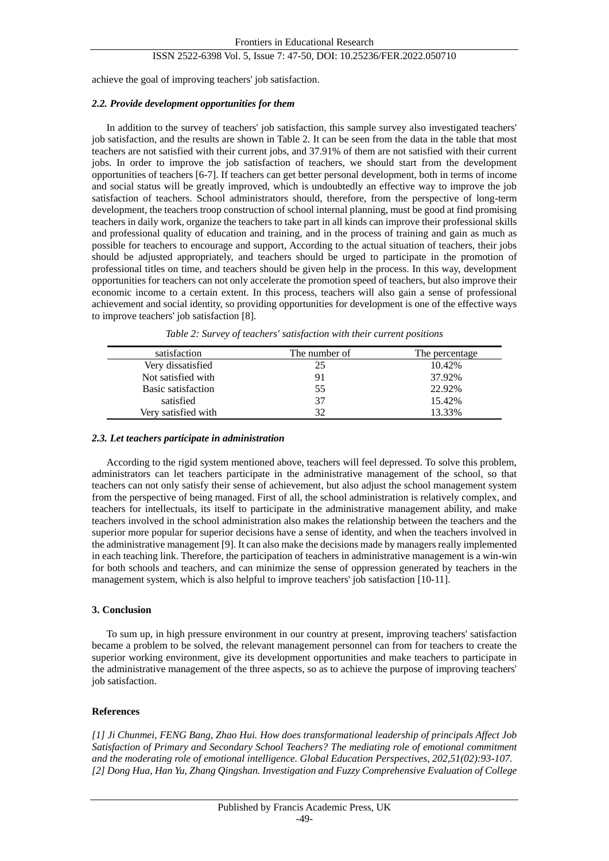# ISSN 2522-6398 Vol. 5, Issue 7: 47-50, DOI: 10.25236/FER.2022.050710

achieve the goal of improving teachers' job satisfaction.

# *2.2. Provide development opportunities for them*

In addition to the survey of teachers' job satisfaction, this sample survey also investigated teachers' job satisfaction, and the results are shown in Table 2. It can be seen from the data in the table that most teachers are not satisfied with their current jobs, and 37.91% of them are not satisfied with their current jobs. In order to improve the job satisfaction of teachers, we should start from the development opportunities of teachers [6-7]. If teachers can get better personal development, both in terms of income and social status will be greatly improved, which is undoubtedly an effective way to improve the job satisfaction of teachers. School administrators should, therefore, from the perspective of long-term development, the teachers troop construction of school internal planning, must be good at find promising teachers in daily work, organize the teachers to take part in all kinds can improve their professional skills and professional quality of education and training, and in the process of training and gain as much as possible for teachers to encourage and support, According to the actual situation of teachers, their jobs should be adjusted appropriately, and teachers should be urged to participate in the promotion of professional titles on time, and teachers should be given help in the process. In this way, development opportunities for teachers can not only accelerate the promotion speed of teachers, but also improve their economic income to a certain extent. In this process, teachers will also gain a sense of professional achievement and social identity, so providing opportunities for development is one of the effective ways to improve teachers' job satisfaction [8].

| satisfaction        | The number of | The percentage |
|---------------------|---------------|----------------|
| Very dissatisfied   | 25            | 10.42%         |
| Not satisfied with  | 91            | 37.92%         |
| Basic satisfaction  | 55            | 22.92%         |
| satisfied           | 37            | 15.42%         |
| Verv satisfied with | 32            | 13.33%         |

*Table 2: Survey of teachers' satisfaction with their current positions*

# *2.3. Let teachers participate in administration*

According to the rigid system mentioned above, teachers will feel depressed. To solve this problem, administrators can let teachers participate in the administrative management of the school, so that teachers can not only satisfy their sense of achievement, but also adjust the school management system from the perspective of being managed. First of all, the school administration is relatively complex, and teachers for intellectuals, its itself to participate in the administrative management ability, and make teachers involved in the school administration also makes the relationship between the teachers and the superior more popular for superior decisions have a sense of identity, and when the teachers involved in the administrative management [9]. It can also make the decisions made by managers really implemented in each teaching link. Therefore, the participation of teachers in administrative management is a win-win for both schools and teachers, and can minimize the sense of oppression generated by teachers in the management system, which is also helpful to improve teachers' job satisfaction [10-11].

# **3. Conclusion**

To sum up, in high pressure environment in our country at present, improving teachers' satisfaction became a problem to be solved, the relevant management personnel can from for teachers to create the superior working environment, give its development opportunities and make teachers to participate in the administrative management of the three aspects, so as to achieve the purpose of improving teachers' job satisfaction.

# **References**

*[1] Ji Chunmei, FENG Bang, Zhao Hui. How does transformational leadership of principals Affect Job Satisfaction of Primary and Secondary School Teachers? The mediating role of emotional commitment and the moderating role of emotional intelligence. Global Education Perspectives, 202,51(02):93-107. [2] Dong Hua, Han Yu, Zhang Qingshan. Investigation and Fuzzy Comprehensive Evaluation of College*